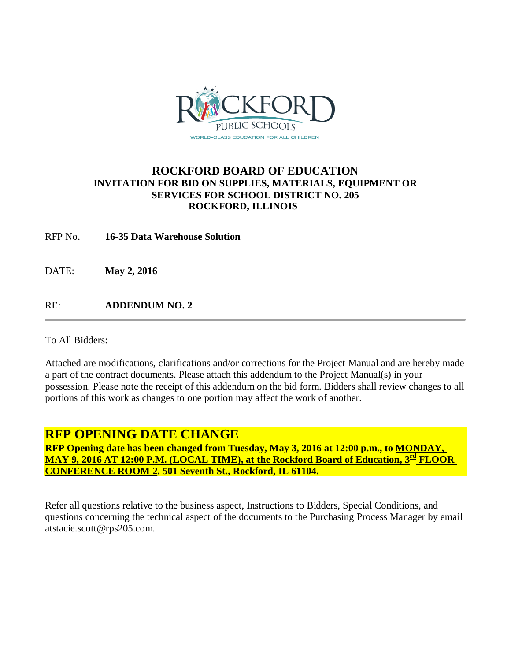

## **ROCKFORD BOARD OF EDUCATION INVITATION FOR BID ON SUPPLIES, MATERIALS, EQUIPMENT OR SERVICES FOR SCHOOL DISTRICT NO. 205 ROCKFORD, ILLINOIS**

RFP No. **16-35 Data Warehouse Solution**

DATE: **May 2, 2016**

RE: **ADDENDUM NO. 2**

To All Bidders:

Attached are modifications, clarifications and/or corrections for the Project Manual and are hereby made a part of the contract documents. Please attach this addendum to the Project Manual(s) in your possession. Please note the receipt of this addendum on the bid form. Bidders shall review changes to all portions of this work as changes to one portion may affect the work of another.

# **RFP OPENING DATE CHANGE**

**RFP Opening date has been changed from Tuesday, May 3, 2016 at 12:00 p.m., to MONDAY, MAY 9, 2016 AT 12:00 P.M. (LOCAL TIME), at the Rockford Board of Education, 3rd FLOOR CONFERENCE ROOM 2, 501 Seventh St., Rockford, IL 61104.**

Refer all questions relative to the business aspect, Instructions to Bidders, Special Conditions, and questions concerning the technical aspect of the documents to the Purchasing Process Manager by email atstacie.scott@rps205.com.